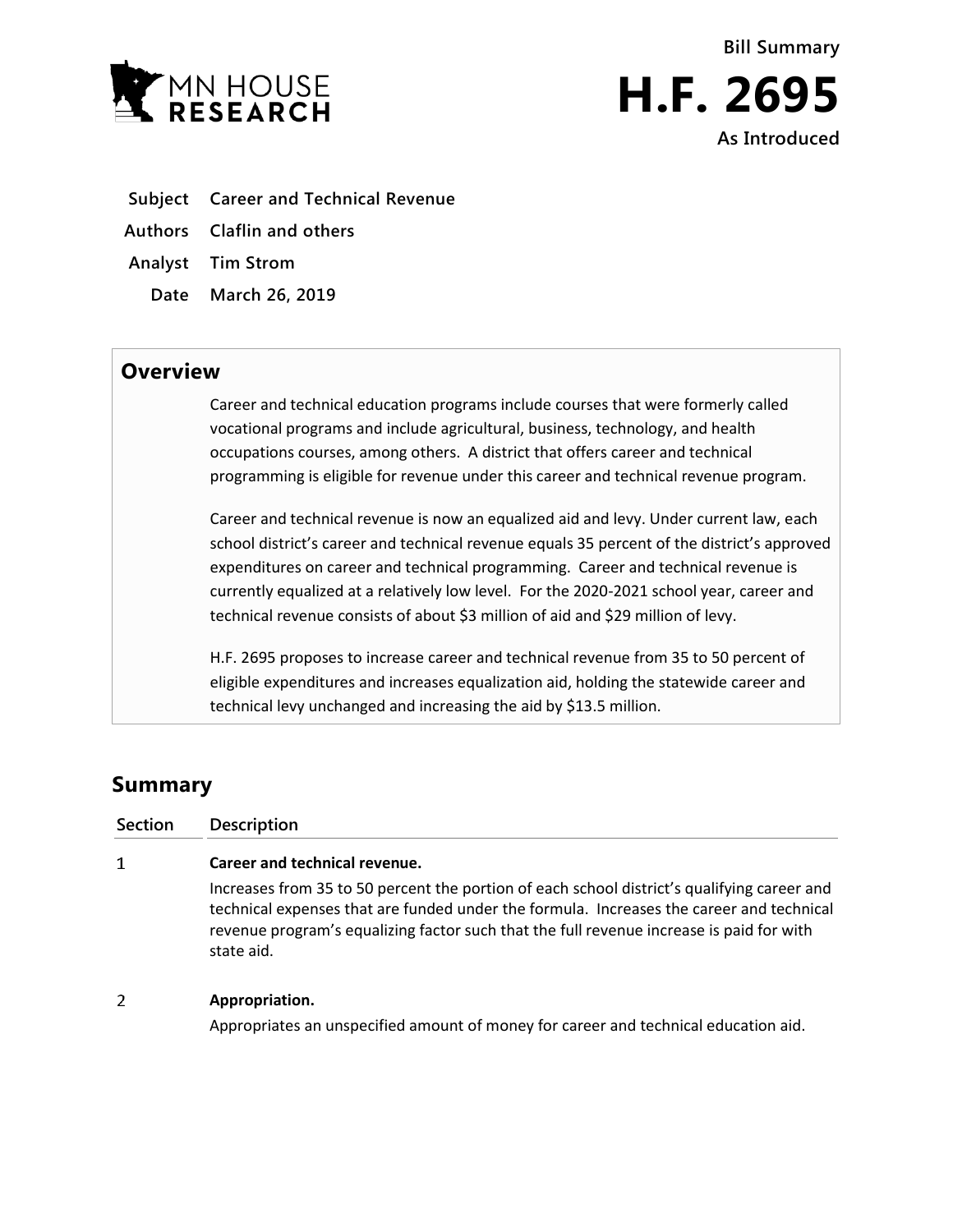



- **Subject Career and Technical Revenue**
- **Authors Claflin and others**
- **Analyst Tim Strom**
	- **Date March 26, 2019**

## **Overview**

Career and technical education programs include courses that were formerly called vocational programs and include agricultural, business, technology, and health occupations courses, among others. A district that offers career and technical programming is eligible for revenue under this career and technical revenue program.

Career and technical revenue is now an equalized aid and levy. Under current law, each school district's career and technical revenue equals 35 percent of the district's approved expenditures on career and technical programming. Career and technical revenue is currently equalized at a relatively low level. For the 2020-2021 school year, career and technical revenue consists of about \$3 million of aid and \$29 million of levy.

H.F. 2695 proposes to increase career and technical revenue from 35 to 50 percent of eligible expenditures and increases equalization aid, holding the statewide career and technical levy unchanged and increasing the aid by \$13.5 million.

## **Summary**

**Section Description**  $\mathbf{1}$ **Career and technical revenue.** Increases from 35 to 50 percent the portion of each school district's qualifying career and technical expenses that are funded under the formula. Increases the career and technical revenue program's equalizing factor such that the full revenue increase is paid for with state aid.

## $\overline{2}$ **Appropriation.**

Appropriates an unspecified amount of money for career and technical education aid.